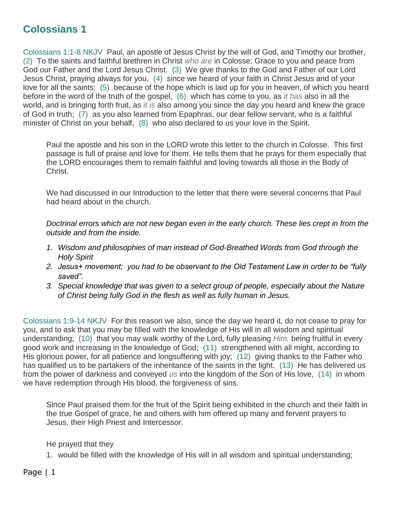## **Colossians 1**

Colossians 1:1-8 NKJV Paul, an apostle of Jesus Christ by the will of God, and Timothy our brother, (2) To the saints and faithful brethren in Christ *who are* in Colosse: Grace to you and peace from God our Father and the Lord Jesus Christ. (3) We give thanks to the God and Father of our Lord Jesus Christ, praying always for you, (4) since we heard of your faith in Christ Jesus and of your love for all the saints; (5) because of the hope which is laid up for you in heaven, of which you heard before in the word of the truth of the gospel, (6) which has come to you, as *it has* also in all the world, and is bringing forth fruit, as *it is* also among you since the day you heard and knew the grace of God in truth; (7) as you also learned from Epaphras, our dear fellow servant, who is a faithful minister of Christ on your behalf, (8) who also declared to us your love in the Spirit.

Paul the apostle and his son in the LORD wrote this letter to the church in Colosse. This first passage is full of praise and love for them. He tells them that he prays for them especially that the LORD encourages them to remain faithful and loving towards all those in the Body of Christ.

We had discussed in our Introduction to the letter that there were several concerns that Paul had heard about in the church.

*Doctrinal errors which are not new began even in the early church. These lies crept in from the outside and from the inside.* 

- *1. Wisdom and philosophies of man instead of God-Breathed Words from God through the Holy Spirit*
- *2. Jesus+ movement; you had to be observant to the Old Testament Law in order to be "fully saved".*
- *3. Special knowledge that was given to a select group of people, especially about the Nature of Christ being fully God in the flesh as well as fully human in Jesus.*

Colossians 1:9-14 NKJV For this reason we also, since the day we heard it, do not cease to pray for you, and to ask that you may be filled with the knowledge of His will in all wisdom and spiritual understanding; (10) that you may walk worthy of the Lord, fully pleasing *Him,* being fruitful in every good work and increasing in the knowledge of God; (11) strengthened with all might, according to His glorious power, for all patience and longsuffering with joy; (12) giving thanks to the Father who has qualified us to be partakers of the inheritance of the saints in the light. (13) He has delivered us from the power of darkness and conveyed *us* into the kingdom of the Son of His love, (14) in whom we have redemption through His blood, the forgiveness of sins.

Since Paul praised them for the fruit of the Spirit being exhibited in the church and their faith in the true Gospel of grace, he and others with him offered up many and fervent prayers to Jesus, their High Priest and Intercessor.

He prayed that they

1. would be filled with the knowledge of His will in all wisdom and spiritual understanding;

Page | 1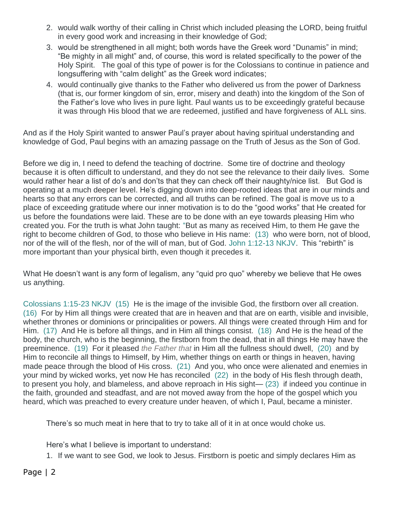- 2. would walk worthy of their calling in Christ which included pleasing the LORD, being fruitful in every good work and increasing in their knowledge of God;
- 3. would be strengthened in all might; both words have the Greek word "Dunamis" in mind; "Be mighty in all might" and, of course, this word is related specifically to the power of the Holy Spirit. The goal of this type of power is for the Colossians to continue in patience and longsuffering with "calm delight" as the Greek word indicates;
- 4. would continually give thanks to the Father who delivered us from the power of Darkness (that is, our former kingdom of sin, error, misery and death) into the kingdom of the Son of the Father's love who lives in pure light. Paul wants us to be exceedingly grateful because it was through His blood that we are redeemed, justified and have forgiveness of ALL sins.

And as if the Holy Spirit wanted to answer Paul's prayer about having spiritual understanding and knowledge of God, Paul begins with an amazing passage on the Truth of Jesus as the Son of God.

Before we dig in, I need to defend the teaching of doctrine. Some tire of doctrine and theology because it is often difficult to understand, and they do not see the relevance to their daily lives. Some would rather hear a list of do's and don'ts that they can check off their naughty/nice list. But God is operating at a much deeper level. He's digging down into deep-rooted ideas that are in our minds and hearts so that any errors can be corrected, and all truths can be refined. The goal is move us to a place of exceeding gratitude where our inner motivation is to do the "good works" that He created for us before the foundations were laid. These are to be done with an eye towards pleasing Him who created you. For the truth is what John taught: "But as many as received Him, to them He gave the right to become children of God, to those who believe in His name: (13) who were born, not of blood, nor of the will of the flesh, nor of the will of man, but of God. John 1:12-13 NKJV. This "rebirth" is more important than your physical birth, even though it precedes it.

What He doesn't want is any form of legalism, any "quid pro quo" whereby we believe that He owes us anything.

Colossians 1:15-23 NKJV (15) He is the image of the invisible God, the firstborn over all creation. (16) For by Him all things were created that are in heaven and that are on earth, visible and invisible, whether thrones or dominions or principalities or powers. All things were created through Him and for Him. (17) And He is before all things, and in Him all things consist. (18) And He is the head of the body, the church, who is the beginning, the firstborn from the dead, that in all things He may have the preeminence. (19) For it pleased *the Father that* in Him all the fullness should dwell, (20) and by Him to reconcile all things to Himself, by Him, whether things on earth or things in heaven, having made peace through the blood of His cross. (21) And you, who once were alienated and enemies in your mind by wicked works, yet now He has reconciled (22) in the body of His flesh through death, to present you holy, and blameless, and above reproach in His sight— (23) if indeed you continue in the faith, grounded and steadfast, and are not moved away from the hope of the gospel which you heard, which was preached to every creature under heaven, of which I, Paul, became a minister.

There's so much meat in here that to try to take all of it in at once would choke us.

Here's what I believe is important to understand:

1. If we want to see God, we look to Jesus. Firstborn is poetic and simply declares Him as